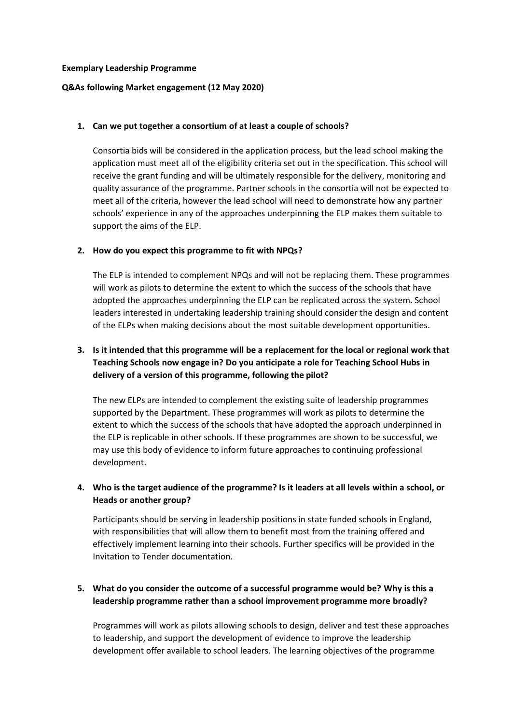#### **Exemplary Leadership Programme**

### **Q&As following Market engagement (12 May 2020)**

### **1. Can we put together a consortium of at least a couple of schools?**

Consortia bids will be considered in the application process, but the lead school making the application must meet all of the eligibility criteria set out in the specification. This school will receive the grant funding and will be ultimately responsible for the delivery, monitoring and quality assurance of the programme. Partner schools in the consortia will not be expected to meet all of the criteria, however the lead school will need to demonstrate how any partner schools' experience in any of the approaches underpinning the ELP makes them suitable to support the aims of the ELP.

### **2. How do you expect this programme to fit with NPQs?**

The ELP is intended to complement NPQs and will not be replacing them. These programmes will work as pilots to determine the extent to which the success of the schools that have adopted the approaches underpinning the ELP can be replicated across the system. School leaders interested in undertaking leadership training should consider the design and content of the ELPs when making decisions about the most suitable development opportunities.

# **3. Is it intended that this programme will be a replacement for the local or regional work that Teaching Schools now engage in? Do you anticipate a role for Teaching School Hubs in delivery of a version of this programme, following the pilot?**

The new ELPs are intended to complement the existing suite of leadership programmes supported by the Department. These programmes will work as pilots to determine the extent to which the success of the schools that have adopted the approach underpinned in the ELP is replicable in other schools. If these programmes are shown to be successful, we may use this body of evidence to inform future approaches to continuing professional development.

## **4. Who is the target audience of the programme? Is it leaders at all levels within a school, or Heads or another group?**

Participants should be serving in leadership positions in state funded schools in England, with responsibilities that will allow them to benefit most from the training offered and effectively implement learning into their schools. Further specifics will be provided in the Invitation to Tender documentation.

## **5. What do you consider the outcome of a successful programme would be? Why is this a leadership programme rather than a school improvement programme more broadly?**

Programmes will work as pilots allowing schools to design, deliver and test these approaches to leadership, and support the development of evidence to improve the leadership development offer available to school leaders. The learning objectives of the programme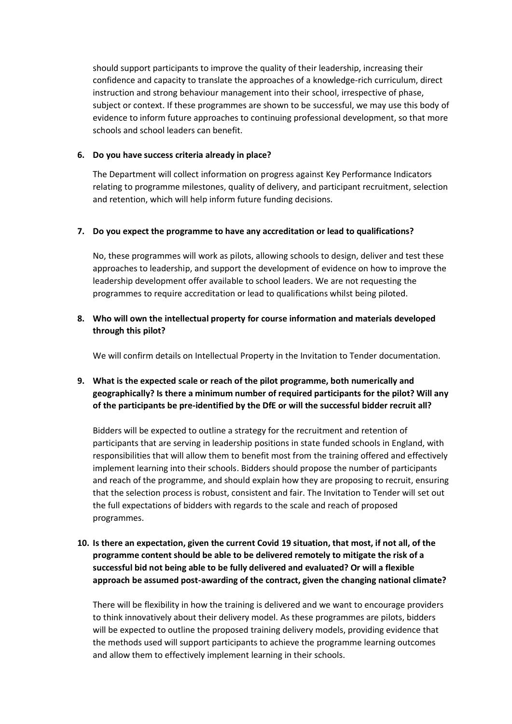should support participants to improve the quality of their leadership, increasing their confidence and capacity to translate the approaches of a knowledge-rich curriculum, direct instruction and strong behaviour management into their school, irrespective of phase, subject or context. If these programmes are shown to be successful, we may use this body of evidence to inform future approaches to continuing professional development, so that more schools and school leaders can benefit.

### **6. Do you have success criteria already in place?**

The Department will collect information on progress against Key Performance Indicators relating to programme milestones, quality of delivery, and participant recruitment, selection and retention, which will help inform future funding decisions.

### **7. Do you expect the programme to have any accreditation or lead to qualifications?**

No, these programmes will work as pilots, allowing schools to design, deliver and test these approaches to leadership, and support the development of evidence on how to improve the leadership development offer available to school leaders. We are not requesting the programmes to require accreditation or lead to qualifications whilst being piloted.

## **8. Who will own the intellectual property for course information and materials developed through this pilot?**

We will confirm details on Intellectual Property in the Invitation to Tender documentation.

## **9. What is the expected scale or reach of the pilot programme, both numerically and geographically? Is there a minimum number of required participants for the pilot? Will any of the participants be pre-identified by the DfE or will the successful bidder recruit all?**

Bidders will be expected to outline a strategy for the recruitment and retention of participants that are serving in leadership positions in state funded schools in England, with responsibilities that will allow them to benefit most from the training offered and effectively implement learning into their schools. Bidders should propose the number of participants and reach of the programme, and should explain how they are proposing to recruit, ensuring that the selection process is robust, consistent and fair. The Invitation to Tender will set out the full expectations of bidders with regards to the scale and reach of proposed programmes.

## **10. Is there an expectation, given the current Covid 19 situation, that most, if not all, of the programme content should be able to be delivered remotely to mitigate the risk of a successful bid not being able to be fully delivered and evaluated? Or will a flexible approach be assumed post-awarding of the contract, given the changing national climate?**

There will be flexibility in how the training is delivered and we want to encourage providers to think innovatively about their delivery model. As these programmes are pilots, bidders will be expected to outline the proposed training delivery models, providing evidence that the methods used will support participants to achieve the programme learning outcomes and allow them to effectively implement learning in their schools.